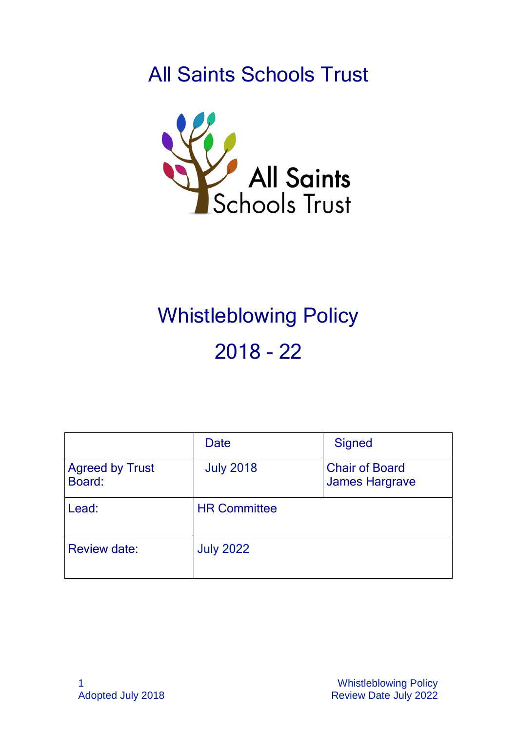## All Saints Schools Trust



# Whistleblowing Policy 2018 - 22

|                                  | Date                | Signed                                         |
|----------------------------------|---------------------|------------------------------------------------|
| <b>Agreed by Trust</b><br>Board: | <b>July 2018</b>    | <b>Chair of Board</b><br><b>James Hargrave</b> |
| Lead:                            | <b>HR Committee</b> |                                                |
| <b>Review date:</b>              | <b>July 2022</b>    |                                                |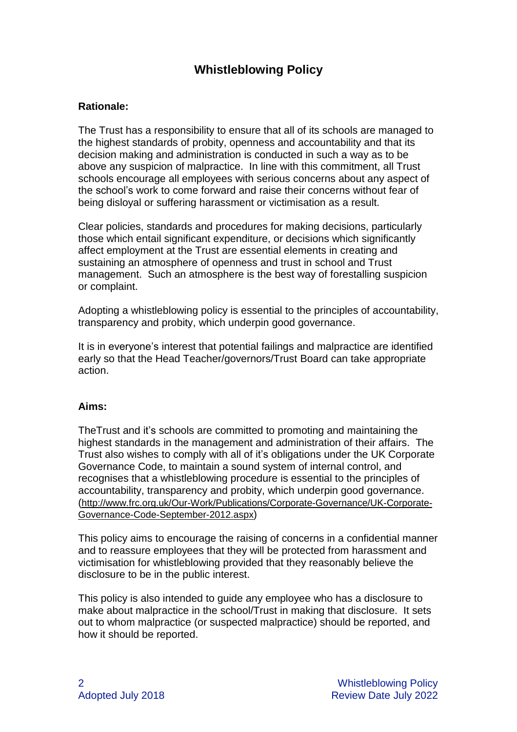## **Whistleblowing Policy**

#### **Rationale:**

The Trust has a responsibility to ensure that all of its schools are managed to the highest standards of probity, openness and accountability and that its decision making and administration is conducted in such a way as to be above any suspicion of malpractice. In line with this commitment, all Trust schools encourage all employees with serious concerns about any aspect of the school's work to come forward and raise their concerns without fear of being disloyal or suffering harassment or victimisation as a result.

Clear policies, standards and procedures for making decisions, particularly those which entail significant expenditure, or decisions which significantly affect employment at the Trust are essential elements in creating and sustaining an atmosphere of openness and trust in school and Trust management. Such an atmosphere is the best way of forestalling suspicion or complaint.

Adopting a whistleblowing policy is essential to the principles of accountability, transparency and probity, which underpin good governance.

It is in everyone's interest that potential failings and malpractice are identified early so that the Head Teacher/governors/Trust Board can take appropriate action.

#### **Aims:**

TheTrust and it's schools are committed to promoting and maintaining the highest standards in the management and administration of their affairs. The Trust also wishes to comply with all of it's obligations under the UK Corporate Governance Code, to maintain a sound system of internal control, and recognises that a whistleblowing procedure is essential to the principles of accountability, transparency and probity, which underpin good governance. ([http://www.frc.org.uk/Our-Work/Publications/Corporate-Governance/UK-Corporate-](http://www.frc.org.uk/Our-Work/Publications/Corporate-Governance/UK-Corporate-Governance-Code-September-2012.aspx)[Governance-Code-September-2012.aspx](http://www.frc.org.uk/Our-Work/Publications/Corporate-Governance/UK-Corporate-Governance-Code-September-2012.aspx))

This policy aims to encourage the raising of concerns in a confidential manner and to reassure employees that they will be protected from harassment and victimisation for whistleblowing provided that they reasonably believe the disclosure to be in the public interest.

This policy is also intended to guide any employee who has a disclosure to make about malpractice in the school/Trust in making that disclosure. It sets out to whom malpractice (or suspected malpractice) should be reported, and how it should be reported.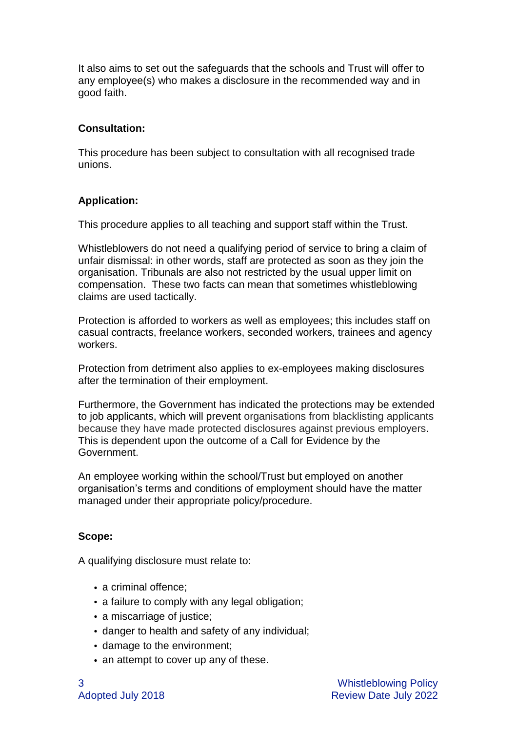It also aims to set out the safeguards that the schools and Trust will offer to any employee(s) who makes a disclosure in the recommended way and in good faith.

#### **Consultation:**

This procedure has been subject to consultation with all recognised trade unions.

#### **Application:**

This procedure applies to all teaching and support staff within the Trust.

Whistleblowers do not need a qualifying period of service to bring a claim of unfair dismissal: in other words, staff are protected as soon as they join the organisation. Tribunals are also not restricted by the usual upper limit on compensation. These two facts can mean that sometimes whistleblowing claims are used tactically.

Protection is afforded to workers as well as employees; this includes staff on casual contracts, freelance workers, seconded workers, trainees and agency workers.

Protection from detriment also applies to ex-employees making disclosures after the termination of their employment.

Furthermore, the Government has indicated the protections may be extended to job applicants, which will prevent organisations from blacklisting applicants because they have made protected disclosures against previous employers. This is dependent upon the outcome of a Call for Evidence by the Government.

An employee working within the school/Trust but employed on another organisation's terms and conditions of employment should have the matter managed under their appropriate policy/procedure.

#### **Scope:**

A qualifying disclosure must relate to:

- a criminal offence;
- a failure to comply with any legal obligation;
- a miscarriage of justice;
- danger to health and safety of any individual;
- damage to the environment;
- an attempt to cover up any of these.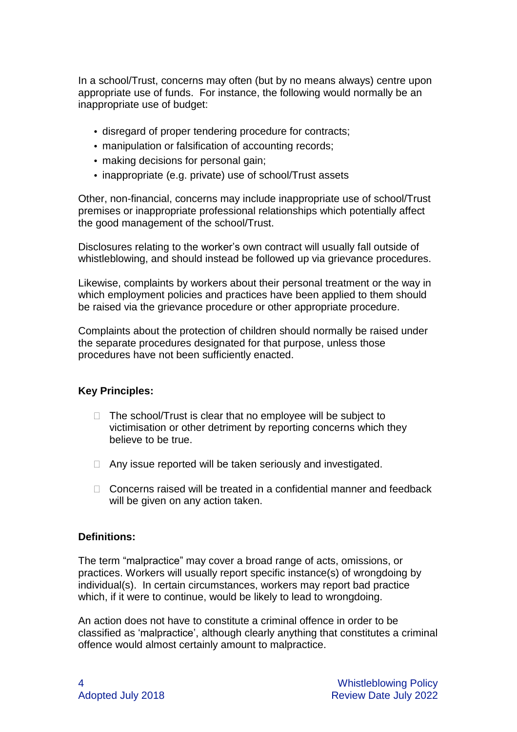In a school/Trust, concerns may often (but by no means always) centre upon appropriate use of funds. For instance, the following would normally be an inappropriate use of budget:

- disregard of proper tendering procedure for contracts;
- manipulation or falsification of accounting records;
- making decisions for personal gain;
- inappropriate (e.g. private) use of school/Trust assets

Other, non-financial, concerns may include inappropriate use of school/Trust premises or inappropriate professional relationships which potentially affect the good management of the school/Trust.

Disclosures relating to the worker's own contract will usually fall outside of whistleblowing, and should instead be followed up via grievance procedures.

Likewise, complaints by workers about their personal treatment or the way in which employment policies and practices have been applied to them should be raised via the grievance procedure or other appropriate procedure.

Complaints about the protection of children should normally be raised under the separate procedures designated for that purpose, unless those procedures have not been sufficiently enacted.

#### **Key Principles:**

- $\Box$  The school/Trust is clear that no employee will be subject to victimisation or other detriment by reporting concerns which they believe to be true.
- $\Box$  Any issue reported will be taken seriously and investigated.
- $\Box$  Concerns raised will be treated in a confidential manner and feedback will be given on any action taken.

#### **Definitions:**

The term "malpractice" may cover a broad range of acts, omissions, or practices. Workers will usually report specific instance(s) of wrongdoing by individual(s). In certain circumstances, workers may report bad practice which, if it were to continue, would be likely to lead to wrongdoing.

An action does not have to constitute a criminal offence in order to be classified as 'malpractice', although clearly anything that constitutes a criminal offence would almost certainly amount to malpractice.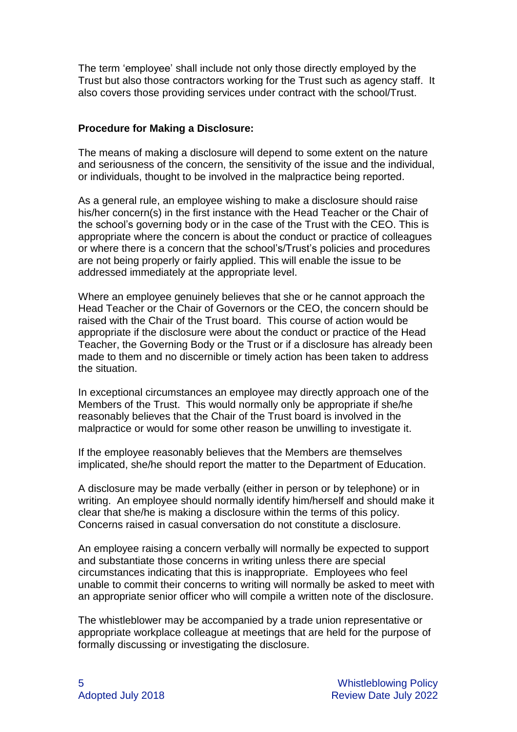The term 'employee' shall include not only those directly employed by the Trust but also those contractors working for the Trust such as agency staff. It also covers those providing services under contract with the school/Trust.

#### **Procedure for Making a Disclosure:**

The means of making a disclosure will depend to some extent on the nature and seriousness of the concern, the sensitivity of the issue and the individual, or individuals, thought to be involved in the malpractice being reported.

As a general rule, an employee wishing to make a disclosure should raise his/her concern(s) in the first instance with the Head Teacher or the Chair of the school's governing body or in the case of the Trust with the CEO. This is appropriate where the concern is about the conduct or practice of colleagues or where there is a concern that the school's/Trust's policies and procedures are not being properly or fairly applied. This will enable the issue to be addressed immediately at the appropriate level.

Where an employee genuinely believes that she or he cannot approach the Head Teacher or the Chair of Governors or the CEO, the concern should be raised with the Chair of the Trust board. This course of action would be appropriate if the disclosure were about the conduct or practice of the Head Teacher, the Governing Body or the Trust or if a disclosure has already been made to them and no discernible or timely action has been taken to address the situation.

In exceptional circumstances an employee may directly approach one of the Members of the Trust. This would normally only be appropriate if she/he reasonably believes that the Chair of the Trust board is involved in the malpractice or would for some other reason be unwilling to investigate it.

If the employee reasonably believes that the Members are themselves implicated, she/he should report the matter to the Department of Education.

A disclosure may be made verbally (either in person or by telephone) or in writing. An employee should normally identify him/herself and should make it clear that she/he is making a disclosure within the terms of this policy. Concerns raised in casual conversation do not constitute a disclosure.

An employee raising a concern verbally will normally be expected to support and substantiate those concerns in writing unless there are special circumstances indicating that this is inappropriate. Employees who feel unable to commit their concerns to writing will normally be asked to meet with an appropriate senior officer who will compile a written note of the disclosure.

The whistleblower may be accompanied by a trade union representative or appropriate workplace colleague at meetings that are held for the purpose of formally discussing or investigating the disclosure.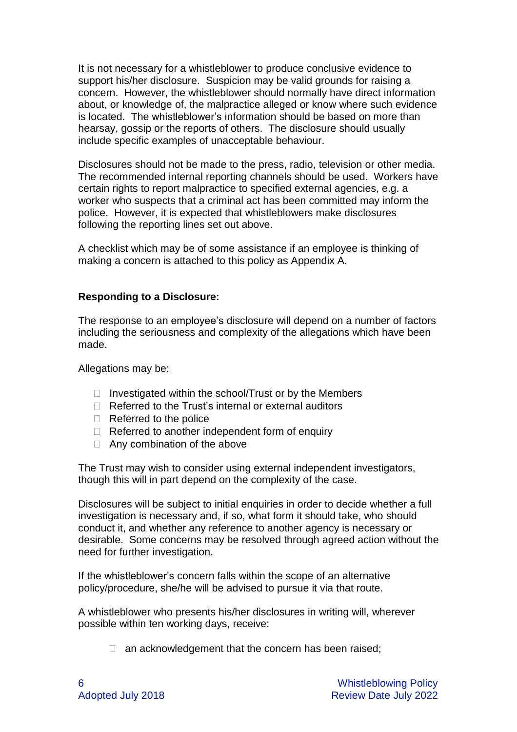It is not necessary for a whistleblower to produce conclusive evidence to support his/her disclosure. Suspicion may be valid grounds for raising a concern. However, the whistleblower should normally have direct information about, or knowledge of, the malpractice alleged or know where such evidence is located. The whistleblower's information should be based on more than hearsay, gossip or the reports of others. The disclosure should usually include specific examples of unacceptable behaviour.

Disclosures should not be made to the press, radio, television or other media. The recommended internal reporting channels should be used. Workers have certain rights to report malpractice to specified external agencies, e.g. a worker who suspects that a criminal act has been committed may inform the police. However, it is expected that whistleblowers make disclosures following the reporting lines set out above.

A checklist which may be of some assistance if an employee is thinking of making a concern is attached to this policy as Appendix A.

#### **Responding to a Disclosure:**

The response to an employee's disclosure will depend on a number of factors including the seriousness and complexity of the allegations which have been made.

Allegations may be:

- $\Box$  Investigated within the school/Trust or by the Members
- $\Box$  Referred to the Trust's internal or external auditors
- $\Box$  Referred to the police
- $\Box$  Referred to another independent form of enquiry
- $\Box$  Any combination of the above

The Trust may wish to consider using external independent investigators, though this will in part depend on the complexity of the case.

Disclosures will be subject to initial enquiries in order to decide whether a full investigation is necessary and, if so, what form it should take, who should conduct it, and whether any reference to another agency is necessary or desirable. Some concerns may be resolved through agreed action without the need for further investigation.

If the whistleblower's concern falls within the scope of an alternative policy/procedure, she/he will be advised to pursue it via that route.

A whistleblower who presents his/her disclosures in writing will, wherever possible within ten working days, receive:

 $\Box$  an acknowledgement that the concern has been raised;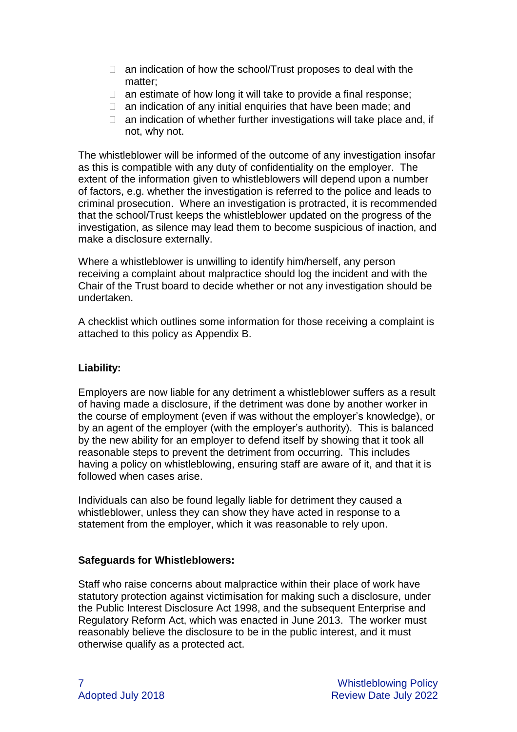- $\Box$  an indication of how the school/Trust proposes to deal with the matter;
- $\Box$  an estimate of how long it will take to provide a final response;
- $\Box$  an indication of any initial enquiries that have been made; and
- $\Box$  an indication of whether further investigations will take place and, if not, why not.

The whistleblower will be informed of the outcome of any investigation insofar as this is compatible with any duty of confidentiality on the employer. The extent of the information given to whistleblowers will depend upon a number of factors, e.g. whether the investigation is referred to the police and leads to criminal prosecution. Where an investigation is protracted, it is recommended that the school/Trust keeps the whistleblower updated on the progress of the investigation, as silence may lead them to become suspicious of inaction, and make a disclosure externally.

Where a whistleblower is unwilling to identify him/herself, any person receiving a complaint about malpractice should log the incident and with the Chair of the Trust board to decide whether or not any investigation should be undertaken.

A checklist which outlines some information for those receiving a complaint is attached to this policy as Appendix B.

#### **Liability:**

Employers are now liable for any detriment a whistleblower suffers as a result of having made a disclosure, if the detriment was done by another worker in the course of employment (even if was without the employer's knowledge), or by an agent of the employer (with the employer's authority). This is balanced by the new ability for an employer to defend itself by showing that it took all reasonable steps to prevent the detriment from occurring. This includes having a policy on whistleblowing, ensuring staff are aware of it, and that it is followed when cases arise.

Individuals can also be found legally liable for detriment they caused a whistleblower, unless they can show they have acted in response to a statement from the employer, which it was reasonable to rely upon.

#### **Safeguards for Whistleblowers:**

Staff who raise concerns about malpractice within their place of work have statutory protection against victimisation for making such a disclosure, under the Public Interest Disclosure Act 1998, and the subsequent Enterprise and Regulatory Reform Act, which was enacted in June 2013. The worker must reasonably believe the disclosure to be in the public interest, and it must otherwise qualify as a protected act.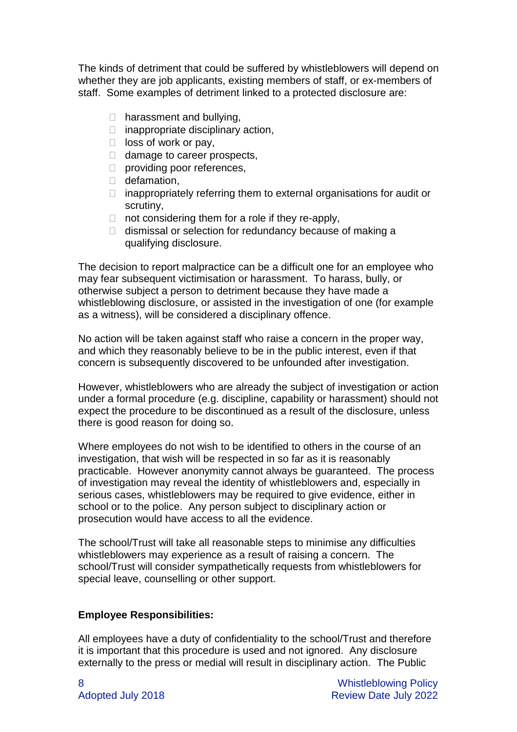The kinds of detriment that could be suffered by whistleblowers will depend on whether they are job applicants, existing members of staff, or ex-members of staff. Some examples of detriment linked to a protected disclosure are:

- $\Box$  harassment and bullying,
- $\Box$  inappropriate disciplinary action,
- $\Box$  loss of work or pay,
- $\Box$  damage to career prospects,
- providing poor references,
- defamation,
- $\Box$  inappropriately referring them to external organisations for audit or scrutiny,
- $\Box$  not considering them for a role if they re-apply,
- $\Box$  dismissal or selection for redundancy because of making a qualifying disclosure.

The decision to report malpractice can be a difficult one for an employee who may fear subsequent victimisation or harassment. To harass, bully, or otherwise subject a person to detriment because they have made a whistleblowing disclosure, or assisted in the investigation of one (for example as a witness), will be considered a disciplinary offence.

No action will be taken against staff who raise a concern in the proper way, and which they reasonably believe to be in the public interest, even if that concern is subsequently discovered to be unfounded after investigation.

However, whistleblowers who are already the subject of investigation or action under a formal procedure (e.g. discipline, capability or harassment) should not expect the procedure to be discontinued as a result of the disclosure, unless there is good reason for doing so.

Where employees do not wish to be identified to others in the course of an investigation, that wish will be respected in so far as it is reasonably practicable. However anonymity cannot always be guaranteed. The process of investigation may reveal the identity of whistleblowers and, especially in serious cases, whistleblowers may be required to give evidence, either in school or to the police. Any person subject to disciplinary action or prosecution would have access to all the evidence.

The school/Trust will take all reasonable steps to minimise any difficulties whistleblowers may experience as a result of raising a concern. The school/Trust will consider sympathetically requests from whistleblowers for special leave, counselling or other support.

#### **Employee Responsibilities:**

All employees have a duty of confidentiality to the school/Trust and therefore it is important that this procedure is used and not ignored. Any disclosure externally to the press or medial will result in disciplinary action. The Public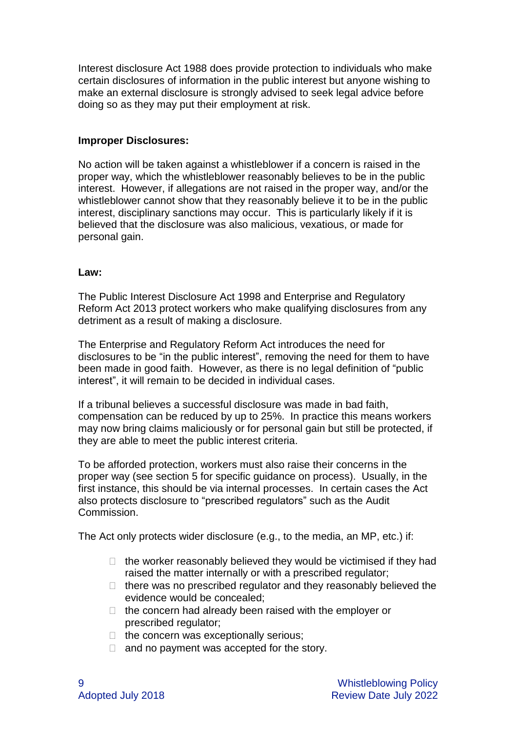Interest disclosure Act 1988 does provide protection to individuals who make certain disclosures of information in the public interest but anyone wishing to make an external disclosure is strongly advised to seek legal advice before doing so as they may put their employment at risk.

#### **Improper Disclosures:**

No action will be taken against a whistleblower if a concern is raised in the proper way, which the whistleblower reasonably believes to be in the public interest. However, if allegations are not raised in the proper way, and/or the whistleblower cannot show that they reasonably believe it to be in the public interest, disciplinary sanctions may occur. This is particularly likely if it is believed that the disclosure was also malicious, vexatious, or made for personal gain.

#### **Law:**

The Public Interest Disclosure Act 1998 and Enterprise and Regulatory Reform Act 2013 protect workers who make qualifying disclosures from any detriment as a result of making a disclosure.

The Enterprise and Regulatory Reform Act introduces the need for disclosures to be "in the public interest", removing the need for them to have been made in good faith. However, as there is no legal definition of "public interest", it will remain to be decided in individual cases.

If a tribunal believes a successful disclosure was made in bad faith, compensation can be reduced by up to 25%. In practice this means workers may now bring claims maliciously or for personal gain but still be protected, if they are able to meet the public interest criteria.

To be afforded protection, workers must also raise their concerns in the proper way (see section 5 for specific guidance on process). Usually, in the first instance, this should be via internal processes. In certain cases the Act also protects disclosure to "prescribed regulators" such as the Audit Commission.

The Act only protects wider disclosure (e.g., to the media, an MP, etc.) if:

- $\Box$  the worker reasonably believed they would be victimised if they had raised the matter internally or with a prescribed regulator;
- $\Box$  there was no prescribed regulator and they reasonably believed the evidence would be concealed;
- $\Box$  the concern had already been raised with the employer or prescribed regulator;
- $\Box$  the concern was exceptionally serious;
- $\Box$  and no payment was accepted for the story.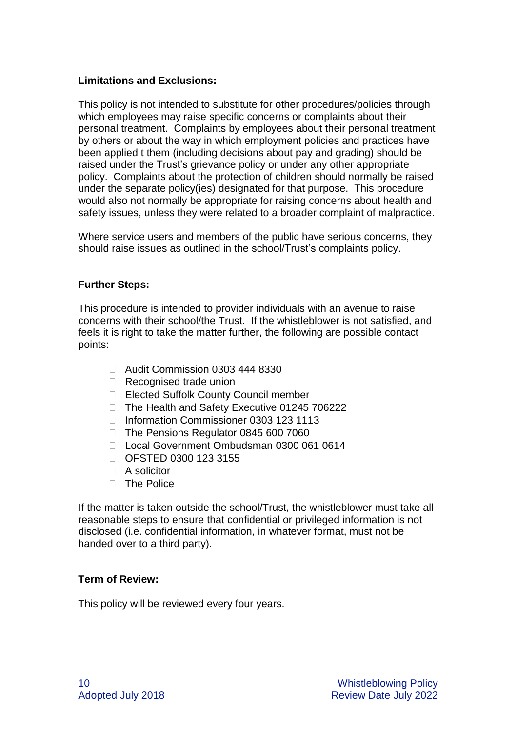#### **Limitations and Exclusions:**

This policy is not intended to substitute for other procedures/policies through which employees may raise specific concerns or complaints about their personal treatment. Complaints by employees about their personal treatment by others or about the way in which employment policies and practices have been applied t them (including decisions about pay and grading) should be raised under the Trust's grievance policy or under any other appropriate policy. Complaints about the protection of children should normally be raised under the separate policy(ies) designated for that purpose. This procedure would also not normally be appropriate for raising concerns about health and safety issues, unless they were related to a broader complaint of malpractice.

Where service users and members of the public have serious concerns, they should raise issues as outlined in the school/Trust's complaints policy.

#### **Further Steps:**

This procedure is intended to provider individuals with an avenue to raise concerns with their school/the Trust. If the whistleblower is not satisfied, and feels it is right to take the matter further, the following are possible contact points:

- □ Audit Commission 0303 444 8330
- □ Recognised trade union
- □ Elected Suffolk County Council member
- □ The Health and Safety Executive 01245 706222
- □ Information Commissioner 0303 123 1113
- □ The Pensions Regulator 0845 600 7060
- □ Local Government Ombudsman 0300 061 0614
- OFSTED 0300 123 3155
- $\Box$  A solicitor
- $\Box$  The Police

If the matter is taken outside the school/Trust, the whistleblower must take all reasonable steps to ensure that confidential or privileged information is not disclosed (i.e. confidential information, in whatever format, must not be handed over to a third party).

#### **Term of Review:**

This policy will be reviewed every four years.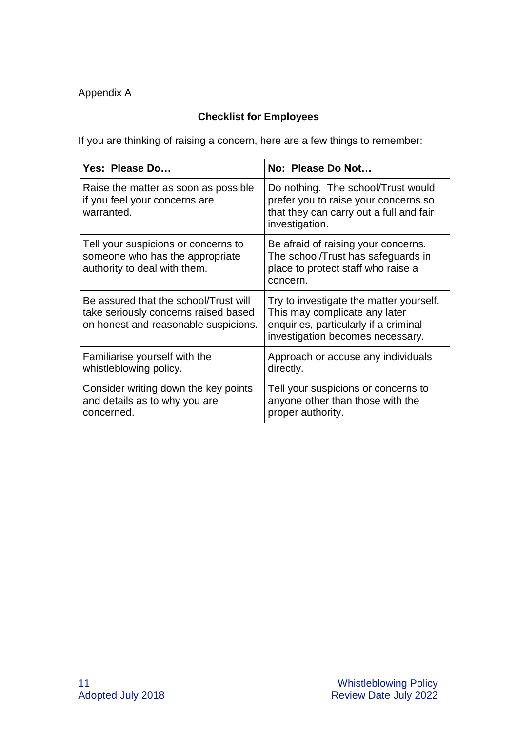## Appendix A

## **Checklist for Employees**

If you are thinking of raising a concern, here are a few things to remember:

| Yes: Please Do                                                                                                        | No: Please Do Not                                                                                                                                     |
|-----------------------------------------------------------------------------------------------------------------------|-------------------------------------------------------------------------------------------------------------------------------------------------------|
| Raise the matter as soon as possible<br>if you feel your concerns are<br>warranted.                                   | Do nothing. The school/Trust would<br>prefer you to raise your concerns so<br>that they can carry out a full and fair<br>investigation.               |
| Tell your suspicions or concerns to<br>someone who has the appropriate<br>authority to deal with them.                | Be afraid of raising your concerns.<br>The school/Trust has safeguards in<br>place to protect staff who raise a<br>concern.                           |
| Be assured that the school/Trust will<br>take seriously concerns raised based<br>on honest and reasonable suspicions. | Try to investigate the matter yourself.<br>This may complicate any later<br>enquiries, particularly if a criminal<br>investigation becomes necessary. |
| Familiarise yourself with the<br>whistleblowing policy.                                                               | Approach or accuse any individuals<br>directly.                                                                                                       |
| Consider writing down the key points<br>and details as to why you are<br>concerned.                                   | Tell your suspicions or concerns to<br>anyone other than those with the<br>proper authority.                                                          |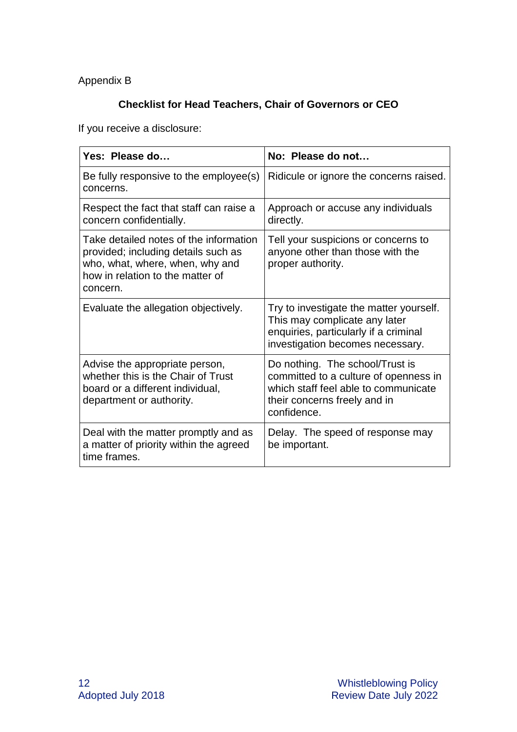Appendix B

## **Checklist for Head Teachers, Chair of Governors or CEO**

If you receive a disclosure:

| Yes: Please do                                                                                                                                                    | No: Please do not                                                                                                                                               |
|-------------------------------------------------------------------------------------------------------------------------------------------------------------------|-----------------------------------------------------------------------------------------------------------------------------------------------------------------|
| Be fully responsive to the employee(s)<br>concerns.                                                                                                               | Ridicule or ignore the concerns raised.                                                                                                                         |
| Respect the fact that staff can raise a<br>concern confidentially.                                                                                                | Approach or accuse any individuals<br>directly.                                                                                                                 |
| Take detailed notes of the information.<br>provided; including details such as<br>who, what, where, when, why and<br>how in relation to the matter of<br>concern. | Tell your suspicions or concerns to<br>anyone other than those with the<br>proper authority.                                                                    |
| Evaluate the allegation objectively.                                                                                                                              | Try to investigate the matter yourself.<br>This may complicate any later<br>enquiries, particularly if a criminal<br>investigation becomes necessary.           |
| Advise the appropriate person,<br>whether this is the Chair of Trust<br>board or a different individual,<br>department or authority.                              | Do nothing. The school/Trust is<br>committed to a culture of openness in<br>which staff feel able to communicate<br>their concerns freely and in<br>confidence. |
| Deal with the matter promptly and as<br>a matter of priority within the agreed<br>time frames.                                                                    | Delay. The speed of response may<br>be important.                                                                                                               |